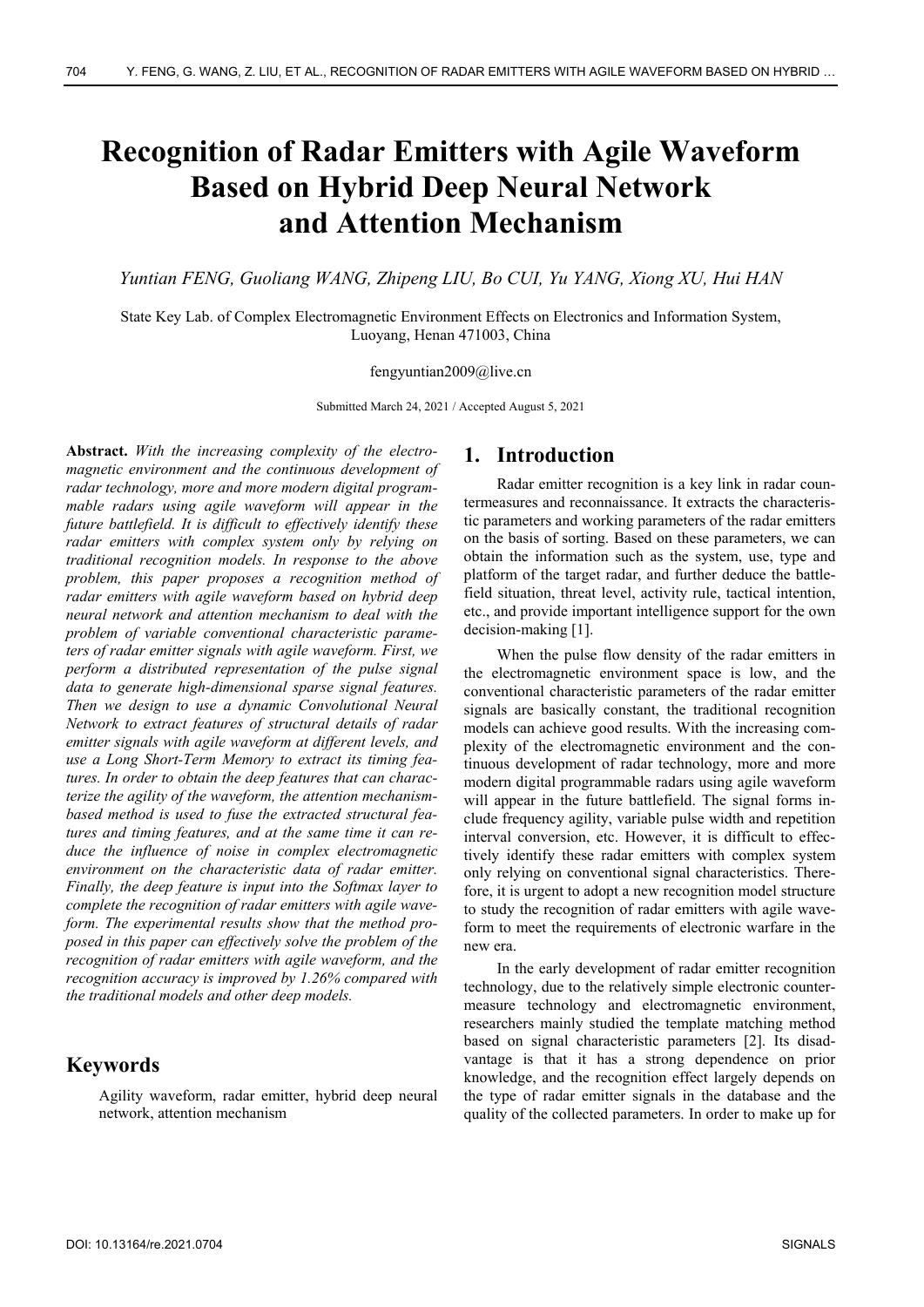# **Recognition of Radar Emitters with Agile Waveform Based on Hybrid Deep Neural Network and Attention Mechanism**

*Yuntian FENG, Guoliang WANG, Zhipeng LIU, Bo CUI, Yu YANG, Xiong XU, Hui HAN* 

State Key Lab. of Complex Electromagnetic Environment Effects on Electronics and Information System, Luoyang, Henan 471003, China

#### fengyuntian2009@live.cn

Submitted March 24, 2021 / Accepted August 5, 2021

**Abstract.** *With the increasing complexity of the electromagnetic environment and the continuous development of radar technology, more and more modern digital programmable radars using agile waveform will appear in the future battlefield. It is difficult to effectively identify these radar emitters with complex system only by relying on traditional recognition models. In response to the above problem, this paper proposes a recognition method of radar emitters with agile waveform based on hybrid deep neural network and attention mechanism to deal with the problem of variable conventional characteristic parameters of radar emitter signals with agile waveform. First, we perform a distributed representation of the pulse signal data to generate high-dimensional sparse signal features. Then we design to use a dynamic Convolutional Neural Network to extract features of structural details of radar emitter signals with agile waveform at different levels, and use a Long Short-Term Memory to extract its timing features. In order to obtain the deep features that can characterize the agility of the waveform, the attention mechanismbased method is used to fuse the extracted structural features and timing features, and at the same time it can reduce the influence of noise in complex electromagnetic environment on the characteristic data of radar emitter. Finally, the deep feature is input into the Softmax layer to complete the recognition of radar emitters with agile waveform. The experimental results show that the method proposed in this paper can effectively solve the problem of the recognition of radar emitters with agile waveform, and the recognition accuracy is improved by 1.26% compared with the traditional models and other deep models.* 

## **Keywords**

Agility waveform, radar emitter, hybrid deep neural network, attention mechanism

## **1. Introduction**

Radar emitter recognition is a key link in radar countermeasures and reconnaissance. It extracts the characteristic parameters and working parameters of the radar emitters on the basis of sorting. Based on these parameters, we can obtain the information such as the system, use, type and platform of the target radar, and further deduce the battlefield situation, threat level, activity rule, tactical intention, etc., and provide important intelligence support for the own decision-making [1].

When the pulse flow density of the radar emitters in the electromagnetic environment space is low, and the conventional characteristic parameters of the radar emitter signals are basically constant, the traditional recognition models can achieve good results. With the increasing complexity of the electromagnetic environment and the continuous development of radar technology, more and more modern digital programmable radars using agile waveform will appear in the future battlefield. The signal forms include frequency agility, variable pulse width and repetition interval conversion, etc. However, it is difficult to effectively identify these radar emitters with complex system only relying on conventional signal characteristics. Therefore, it is urgent to adopt a new recognition model structure to study the recognition of radar emitters with agile waveform to meet the requirements of electronic warfare in the new era.

In the early development of radar emitter recognition technology, due to the relatively simple electronic countermeasure technology and electromagnetic environment, researchers mainly studied the template matching method based on signal characteristic parameters [2]. Its disadvantage is that it has a strong dependence on prior knowledge, and the recognition effect largely depends on the type of radar emitter signals in the database and the quality of the collected parameters. In order to make up for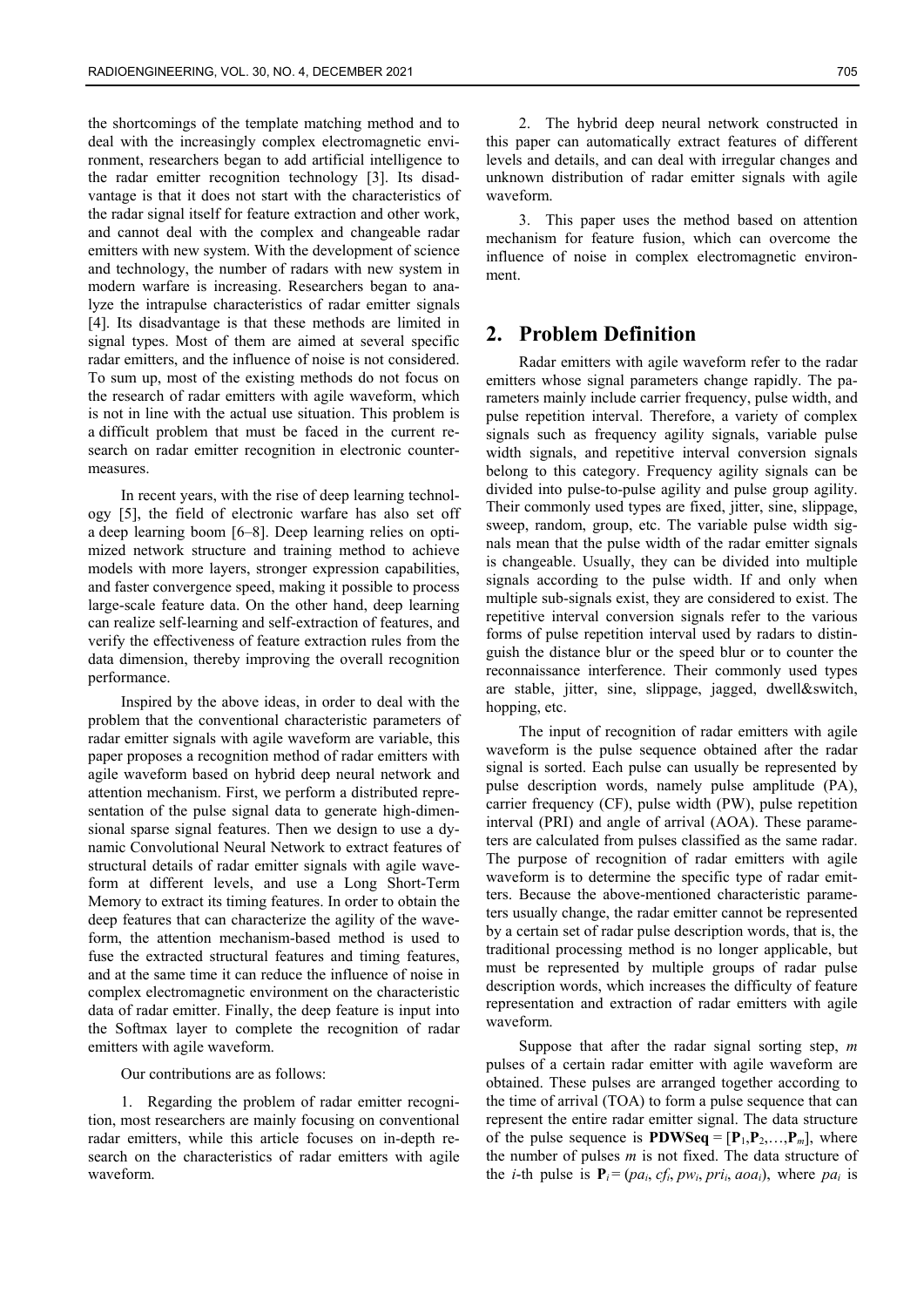the shortcomings of the template matching method and to deal with the increasingly complex electromagnetic environment, researchers began to add artificial intelligence to the radar emitter recognition technology [3]. Its disadvantage is that it does not start with the characteristics of the radar signal itself for feature extraction and other work, and cannot deal with the complex and changeable radar emitters with new system. With the development of science and technology, the number of radars with new system in modern warfare is increasing. Researchers began to analyze the intrapulse characteristics of radar emitter signals [4]. Its disadvantage is that these methods are limited in signal types. Most of them are aimed at several specific radar emitters, and the influence of noise is not considered. To sum up, most of the existing methods do not focus on the research of radar emitters with agile waveform, which is not in line with the actual use situation. This problem is a difficult problem that must be faced in the current research on radar emitter recognition in electronic countermeasures.

In recent years, with the rise of deep learning technology [5], the field of electronic warfare has also set off a deep learning boom [6–8]. Deep learning relies on optimized network structure and training method to achieve models with more layers, stronger expression capabilities, and faster convergence speed, making it possible to process large-scale feature data. On the other hand, deep learning can realize self-learning and self-extraction of features, and verify the effectiveness of feature extraction rules from the data dimension, thereby improving the overall recognition performance.

Inspired by the above ideas, in order to deal with the problem that the conventional characteristic parameters of radar emitter signals with agile waveform are variable, this paper proposes a recognition method of radar emitters with agile waveform based on hybrid deep neural network and attention mechanism. First, we perform a distributed representation of the pulse signal data to generate high-dimensional sparse signal features. Then we design to use a dynamic Convolutional Neural Network to extract features of structural details of radar emitter signals with agile waveform at different levels, and use a Long Short-Term Memory to extract its timing features. In order to obtain the deep features that can characterize the agility of the waveform, the attention mechanism-based method is used to fuse the extracted structural features and timing features, and at the same time it can reduce the influence of noise in complex electromagnetic environment on the characteristic data of radar emitter. Finally, the deep feature is input into the Softmax layer to complete the recognition of radar emitters with agile waveform.

Our contributions are as follows:

1. Regarding the problem of radar emitter recognition, most researchers are mainly focusing on conventional radar emitters, while this article focuses on in-depth research on the characteristics of radar emitters with agile waveform.

2. The hybrid deep neural network constructed in this paper can automatically extract features of different levels and details, and can deal with irregular changes and unknown distribution of radar emitter signals with agile waveform.

3. This paper uses the method based on attention mechanism for feature fusion, which can overcome the influence of noise in complex electromagnetic environment.

## **2. Problem Definition**

Radar emitters with agile waveform refer to the radar emitters whose signal parameters change rapidly. The parameters mainly include carrier frequency, pulse width, and pulse repetition interval. Therefore, a variety of complex signals such as frequency agility signals, variable pulse width signals, and repetitive interval conversion signals belong to this category. Frequency agility signals can be divided into pulse-to-pulse agility and pulse group agility. Their commonly used types are fixed, jitter, sine, slippage, sweep, random, group, etc. The variable pulse width signals mean that the pulse width of the radar emitter signals is changeable. Usually, they can be divided into multiple signals according to the pulse width. If and only when multiple sub-signals exist, they are considered to exist. The repetitive interval conversion signals refer to the various forms of pulse repetition interval used by radars to distinguish the distance blur or the speed blur or to counter the reconnaissance interference. Their commonly used types are stable, jitter, sine, slippage, jagged, dwell&switch, hopping, etc.

The input of recognition of radar emitters with agile waveform is the pulse sequence obtained after the radar signal is sorted. Each pulse can usually be represented by pulse description words, namely pulse amplitude (PA), carrier frequency (CF), pulse width (PW), pulse repetition interval (PRI) and angle of arrival (AOA). These parameters are calculated from pulses classified as the same radar. The purpose of recognition of radar emitters with agile waveform is to determine the specific type of radar emitters. Because the above-mentioned characteristic parameters usually change, the radar emitter cannot be represented by a certain set of radar pulse description words, that is, the traditional processing method is no longer applicable, but must be represented by multiple groups of radar pulse description words, which increases the difficulty of feature representation and extraction of radar emitters with agile waveform.

Suppose that after the radar signal sorting step, *m* pulses of a certain radar emitter with agile waveform are obtained. These pulses are arranged together according to the time of arrival (TOA) to form a pulse sequence that can represent the entire radar emitter signal. The data structure of the pulse sequence is  $\text{PDWSeq} = [\textbf{P}_1, \textbf{P}_2, \dots, \textbf{P}_m]$ , where the number of pulses *m* is not fixed. The data structure of the *i*-th pulse is  $P_i = (pa_i, cf_i, pw_i, pri_i, aoa_i)$ , where  $pa_i$  is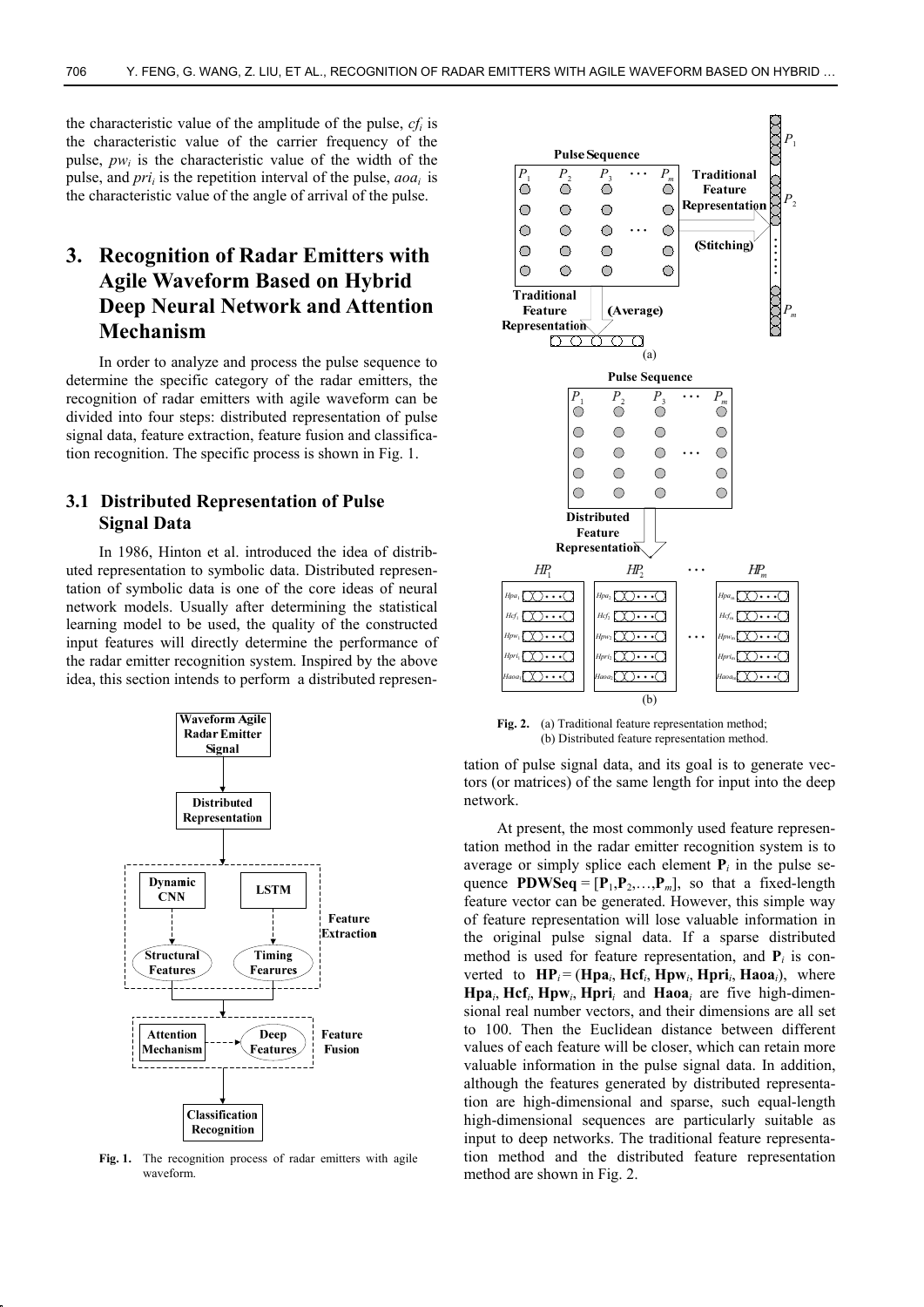the characteristic value of the amplitude of the pulse, *cfi* is the characteristic value of the carrier frequency of the pulse,  $pw_i$  is the characteristic value of the width of the pulse, and *prii* is the repetition interval of the pulse, *aoai* is the characteristic value of the angle of arrival of the pulse.

## **3. Recognition of Radar Emitters with Agile Waveform Based on Hybrid Deep Neural Network and Attention Mechanism**

In order to analyze and process the pulse sequence to determine the specific category of the radar emitters, the recognition of radar emitters with agile waveform can be divided into four steps: distributed representation of pulse signal data, feature extraction, feature fusion and classification recognition. The specific process is shown in Fig. 1.

## **3.1 Distributed Representation of Pulse Signal Data**

In 1986, Hinton et al. introduced the idea of distributed representation to symbolic data. Distributed representation of symbolic data is one of the core ideas of neural network models. Usually after determining the statistical learning model to be used, the quality of the constructed input features will directly determine the performance of the radar emitter recognition system. Inspired by the above idea, this section intends to perform a distributed represen-



Fig. 1. The recognition process of radar emitters with agile waveform.



**Fig. 2.** (a) Traditional feature representation method; (b) Distributed feature representation method.

tation of pulse signal data, and its goal is to generate vectors (or matrices) of the same length for input into the deep network.

At present, the most commonly used feature representation method in the radar emitter recognition system is to average or simply splice each element  $P_i$  in the pulse sequence **PDWSeq** =  $[P_1, P_2, \ldots, P_m]$ , so that a fixed-length feature vector can be generated. However, this simple way of feature representation will lose valuable information in the original pulse signal data. If a sparse distributed method is used for feature representation, and  $P_i$  is converted to  $\mathbf{HP}_i = (\mathbf{Hpa}_i, \mathbf{Hcf}_i, \mathbf{Hpw}_i, \mathbf{Hpri}_i, \mathbf{Haoa}_i)$ , where **Hpa**<sub>*i*</sub>, **Hcf**<sub>*i*</sub>, **Hpw**<sub>*i*</sub>, **Hpri**<sub>*i*</sub> and **Haoa**<sub>*i*</sub> are five high-dimensional real number vectors, and their dimensions are all set to 100. Then the Euclidean distance between different values of each feature will be closer, which can retain more valuable information in the pulse signal data. In addition, although the features generated by distributed representation are high-dimensional and sparse, such equal-length high-dimensional sequences are particularly suitable as input to deep networks. The traditional feature representation method and the distributed feature representation method are shown in Fig. 2.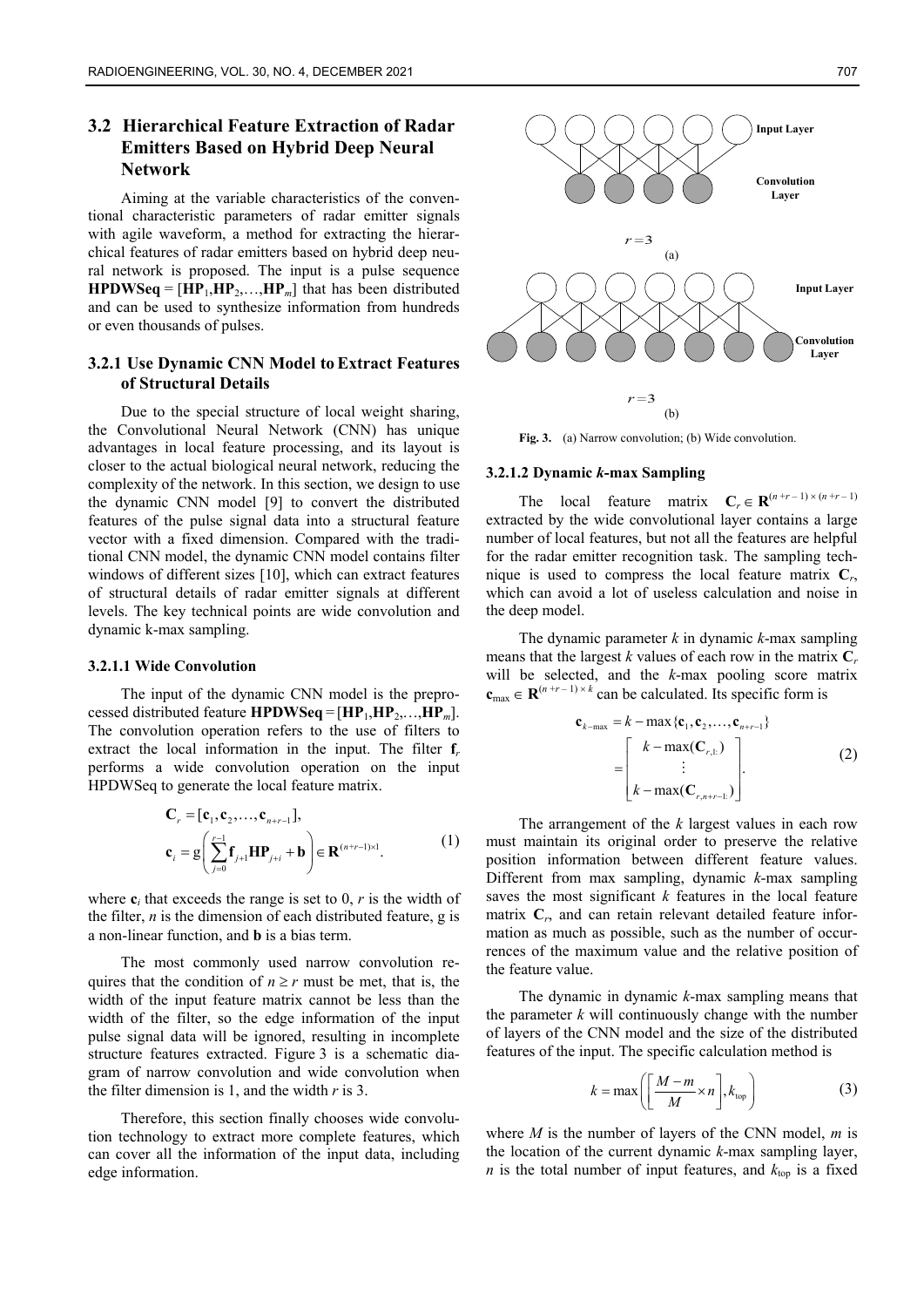## **3.2 Hierarchical Feature Extraction of Radar Emitters Based on Hybrid Deep Neural Network**

Aiming at the variable characteristics of the conventional characteristic parameters of radar emitter signals with agile waveform, a method for extracting the hierarchical features of radar emitters based on hybrid deep neural network is proposed. The input is a pulse sequence **HPDWSeq** =  $[\text{HP}_1, \text{HP}_2, \ldots, \text{HP}_m]$  that has been distributed and can be used to synthesize information from hundreds or even thousands of pulses.

## **3.2.1 Use Dynamic CNN Model toExtract Features of Structural Details**

Due to the special structure of local weight sharing, the Convolutional Neural Network (CNN) has unique advantages in local feature processing, and its layout is closer to the actual biological neural network, reducing the complexity of the network. In this section, we design to use the dynamic CNN model [9] to convert the distributed features of the pulse signal data into a structural feature vector with a fixed dimension. Compared with the traditional CNN model, the dynamic CNN model contains filter windows of different sizes [10], which can extract features of structural details of radar emitter signals at different levels. The key technical points are wide convolution and dynamic k-max sampling.

#### **3.2.1.1 Wide Convolution**

The input of the dynamic CNN model is the preprocessed distributed feature **HPDWSeq** =  $[HP_1, HP_2,...,HP_m]$ . The convolution operation refers to the use of filters to extract the local information in the input. The filter **f***<sup>r</sup>* performs a wide convolution operation on the input HPDWSeq to generate the local feature matrix.

$$
\mathbf{C}_{r} = [\mathbf{c}_{1}, \mathbf{c}_{2}, \dots, \mathbf{c}_{n+r-1}],
$$
\n
$$
\mathbf{c}_{i} = g \left( \sum_{j=0}^{r-1} \mathbf{f}_{j+1} \mathbf{H} \mathbf{P}_{j+i} + \mathbf{b} \right) \in \mathbf{R}^{(n+r-1)\times 1}.
$$
\n(1)

where  $\mathbf{c}_i$  that exceeds the range is set to 0,  $r$  is the width of the filter, *n* is the dimension of each distributed feature, g is a non-linear function, and **b** is a bias term.

The most commonly used narrow convolution requires that the condition of  $n \ge r$  must be met, that is, the width of the input feature matrix cannot be less than the width of the filter, so the edge information of the input pulse signal data will be ignored, resulting in incomplete structure features extracted. Figure 3 is a schematic diagram of narrow convolution and wide convolution when the filter dimension is 1, and the width *r* is 3.

Therefore, this section finally chooses wide convolution technology to extract more complete features, which can cover all the information of the input data, including edge information.



Fig. 3. (a) Narrow convolution; (b) Wide convolution.

#### **3.2.1.2 Dynamic** *k***-max Sampling**

The local feature matrix  $C_r \in \mathbb{R}^{(n+r-1)\times(n+r-1)}$ extracted by the wide convolutional layer contains a large number of local features, but not all the features are helpful for the radar emitter recognition task. The sampling technique is used to compress the local feature matrix **C***r*, which can avoid a lot of useless calculation and noise in the deep model.

The dynamic parameter *k* in dynamic *k*-max sampling means that the largest *k* values of each row in the matrix  $C_r$ will be selected, and the *k*-max pooling score matrix  $c_{\text{max}} \in \mathbb{R}^{(n+r-1) \times k}$  can be calculated. Its specific form is

$$
\mathbf{c}_{k-\max} = k - \max \{ \mathbf{c}_1, \mathbf{c}_2, \dots, \mathbf{c}_{n+r-1} \}
$$

$$
= \begin{bmatrix} k - \max(\mathbf{C}_{r,1}) \\ \vdots \\ k - \max(\mathbf{C}_{r,n+r-1}) \end{bmatrix} .
$$
(2)

The arrangement of the *k* largest values in each row must maintain its original order to preserve the relative position information between different feature values. Different from max sampling, dynamic *k*-max sampling saves the most significant *k* features in the local feature matrix  $C_r$ , and can retain relevant detailed feature information as much as possible, such as the number of occurrences of the maximum value and the relative position of the feature value.

The dynamic in dynamic *k*-max sampling means that the parameter  $k$  will continuously change with the number of layers of the CNN model and the size of the distributed features of the input. The specific calculation method is

$$
k = \max\left(\left[\frac{M-m}{M} \times n\right], k_{\text{top}}\right) \tag{3}
$$

where *M* is the number of layers of the CNN model, *m* is the location of the current dynamic *k*-max sampling layer, *n* is the total number of input features, and  $k_{\text{top}}$  is a fixed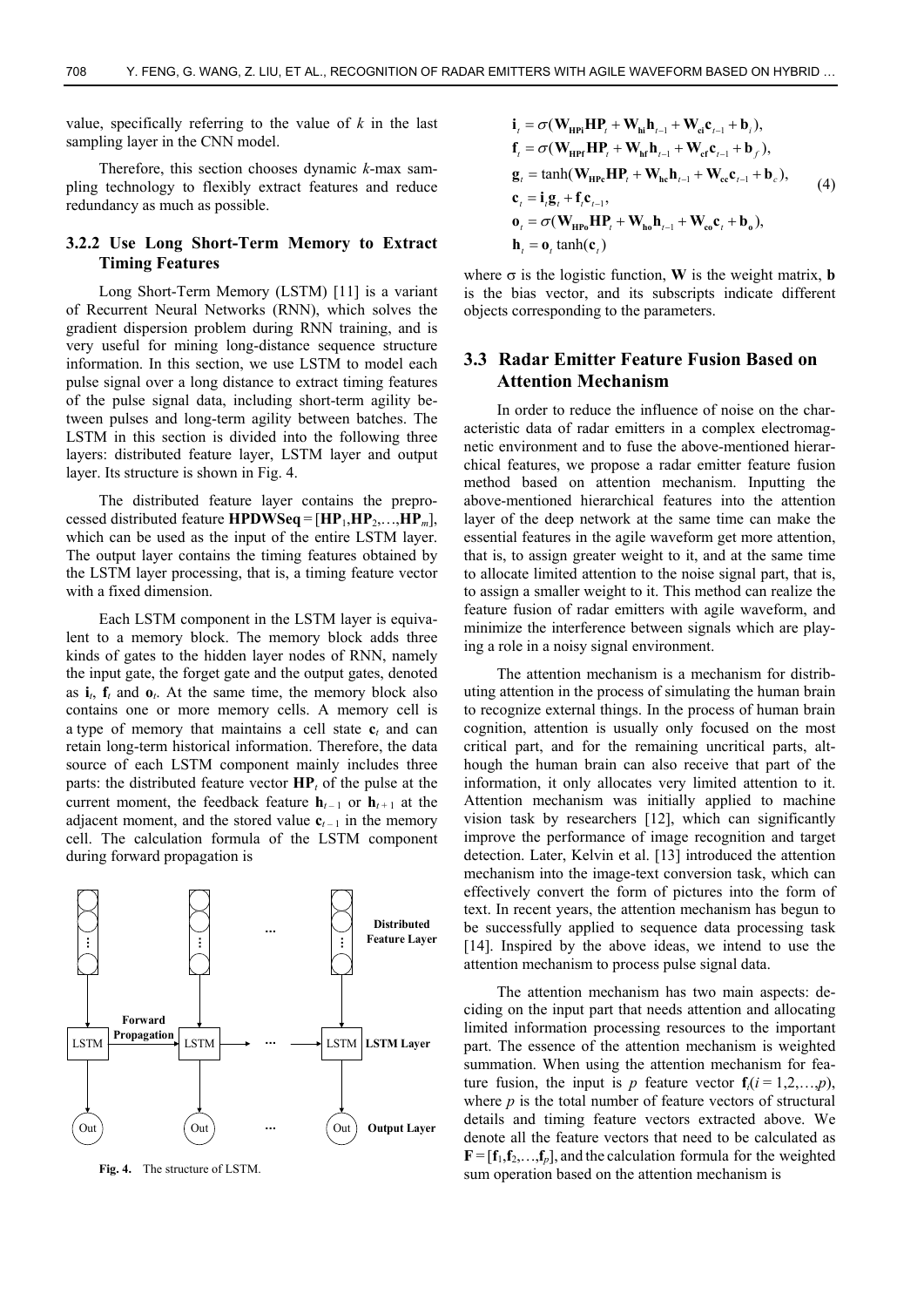value, specifically referring to the value of *k* in the last sampling layer in the CNN model.

Therefore, this section chooses dynamic *k*-max sampling technology to flexibly extract features and reduce redundancy as much as possible.

#### **3.2.2 Use Long Short-Term Memory to Extract Timing Features**

Long Short-Term Memory (LSTM) [11] is a variant of Recurrent Neural Networks (RNN), which solves the gradient dispersion problem during RNN training, and is very useful for mining long-distance sequence structure information. In this section, we use LSTM to model each pulse signal over a long distance to extract timing features of the pulse signal data, including short-term agility between pulses and long-term agility between batches. The LSTM in this section is divided into the following three layers: distributed feature layer, LSTM layer and output layer. Its structure is shown in Fig. 4.

The distributed feature layer contains the preprocessed distributed feature **HPDWSeq** =  $[\textbf{HP}_1, \textbf{HP}_2, \dots, \textbf{HP}_m]$ , which can be used as the input of the entire LSTM layer. The output layer contains the timing features obtained by the LSTM layer processing, that is, a timing feature vector with a fixed dimension.

Each LSTM component in the LSTM layer is equivalent to a memory block. The memory block adds three kinds of gates to the hidden layer nodes of RNN, namely the input gate, the forget gate and the output gates, denoted as  $\mathbf{i}_t$ ,  $\mathbf{f}_t$  and  $\mathbf{o}_t$ . At the same time, the memory block also contains one or more memory cells. A memory cell is a type of memory that maintains a cell state  $c_t$  and can retain long-term historical information. Therefore, the data source of each LSTM component mainly includes three parts: the distributed feature vector **HP***t* of the pulse at the current moment, the feedback feature  $h_{t-1}$  or  $h_{t+1}$  at the adjacent moment, and the stored value  $c_{t-1}$  in the memory cell. The calculation formula of the LSTM component during forward propagation is



**Fig. 4.** The structure of LSTM.

$$
\begin{aligned}\n\mathbf{i}_{t} &= \sigma(\mathbf{W}_{\mathrm{HP}i}\mathbf{H}\mathbf{P}_{t} + \mathbf{W}_{\mathrm{hi}}\mathbf{h}_{t-1} + \mathbf{W}_{\mathrm{ei}}\mathbf{c}_{t-1} + \mathbf{b}_{t}), \\
\mathbf{f}_{t} &= \sigma(\mathbf{W}_{\mathrm{HP}f}\mathbf{H}\mathbf{P}_{t} + \mathbf{W}_{\mathrm{hf}}\mathbf{h}_{t-1} + \mathbf{W}_{\mathrm{ef}}\mathbf{c}_{t-1} + \mathbf{b}_{f}), \\
\mathbf{g}_{t} &= \tanh(\mathbf{W}_{\mathrm{HP}e}\mathbf{H}\mathbf{P}_{t} + \mathbf{W}_{\mathrm{hc}}\mathbf{h}_{t-1} + \mathbf{W}_{\mathrm{ce}}\mathbf{c}_{t-1} + \mathbf{b}_{c}), \\
\mathbf{c}_{t} &= \mathbf{i}_{t}\mathbf{g}_{t} + \mathbf{f}_{t}\mathbf{c}_{t-1}, \\
\mathbf{o}_{t} &= \sigma(\mathbf{W}_{\mathrm{HP}o}\mathbf{H}\mathbf{P}_{t} + \mathbf{W}_{\mathrm{ho}}\mathbf{h}_{t-1} + \mathbf{W}_{\mathrm{ce}}\mathbf{c}_{t} + \mathbf{b}_{o}), \\
\mathbf{h}_{t} &= \mathbf{o}_{t}\tanh(\mathbf{c}_{t})\n\end{aligned} \tag{4}
$$

where  $\sigma$  is the logistic function, **W** is the weight matrix, **b** is the bias vector, and its subscripts indicate different objects corresponding to the parameters.

## **3.3 Radar Emitter Feature Fusion Based on Attention Mechanism**

In order to reduce the influence of noise on the characteristic data of radar emitters in a complex electromagnetic environment and to fuse the above-mentioned hierarchical features, we propose a radar emitter feature fusion method based on attention mechanism. Inputting the above-mentioned hierarchical features into the attention layer of the deep network at the same time can make the essential features in the agile waveform get more attention, that is, to assign greater weight to it, and at the same time to allocate limited attention to the noise signal part, that is, to assign a smaller weight to it. This method can realize the feature fusion of radar emitters with agile waveform, and minimize the interference between signals which are playing a role in a noisy signal environment.

The attention mechanism is a mechanism for distributing attention in the process of simulating the human brain to recognize external things. In the process of human brain cognition, attention is usually only focused on the most critical part, and for the remaining uncritical parts, although the human brain can also receive that part of the information, it only allocates very limited attention to it. Attention mechanism was initially applied to machine vision task by researchers [12], which can significantly improve the performance of image recognition and target detection. Later, Kelvin et al. [13] introduced the attention mechanism into the image-text conversion task, which can effectively convert the form of pictures into the form of text. In recent years, the attention mechanism has begun to be successfully applied to sequence data processing task [14]. Inspired by the above ideas, we intend to use the attention mechanism to process pulse signal data.

The attention mechanism has two main aspects: deciding on the input part that needs attention and allocating limited information processing resources to the important part. The essence of the attention mechanism is weighted summation. When using the attention mechanism for feature fusion, the input is *p* feature vector  $f_i(i = 1,2,...,p)$ , where *p* is the total number of feature vectors of structural details and timing feature vectors extracted above. We denote all the feature vectors that need to be calculated as  $\mathbf{F} = [\mathbf{f}_1, \mathbf{f}_2, \dots, \mathbf{f}_p]$ , and the calculation formula for the weighted sum operation based on the attention mechanism is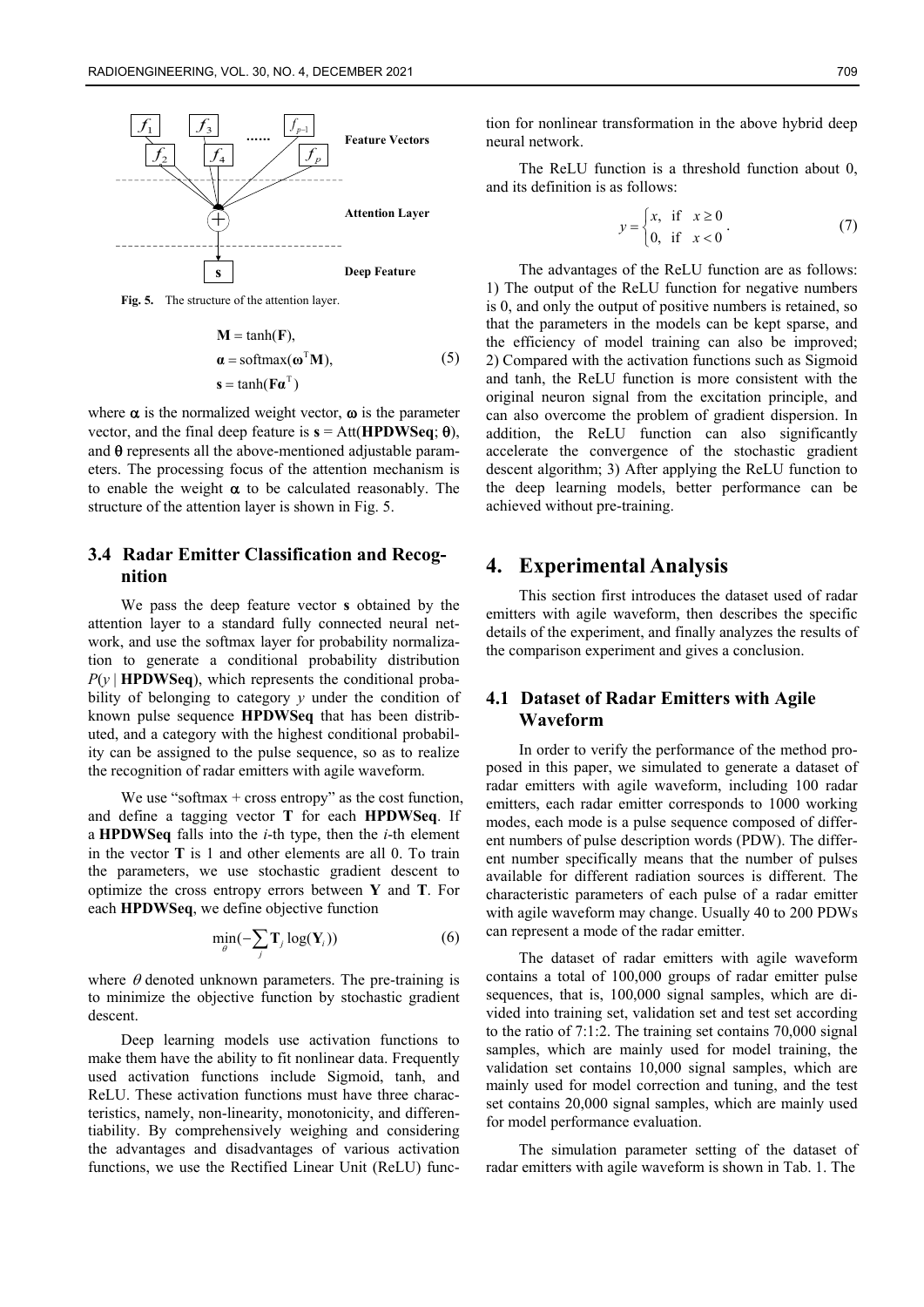

**Fig. 5.** The structure of the attention layer.

$$
\mathbf{M} = \tanh(\mathbf{F}),
$$
  
\n
$$
\mathbf{\alpha} = \text{softmax}(\mathbf{\omega}^{\top}\mathbf{M}),
$$
  
\n
$$
\mathbf{s} = \tanh(\mathbf{F}\mathbf{\alpha}^{\top})
$$
\n(5)

where  $\alpha$  is the normalized weight vector,  $\omega$  is the parameter vector, and the final deep feature is  $\mathbf{s} = \text{Att}(\mathbf{HPDWSeq}; \theta)$ , and  $\theta$  represents all the above-mentioned adjustable parameters. The processing focus of the attention mechanism is to enable the weight  $\alpha$  to be calculated reasonably. The structure of the attention layer is shown in Fig. 5.

## **3.4 Radar Emitter Classification and Recognition**

We pass the deep feature vector **s** obtained by the attention layer to a standard fully connected neural network, and use the softmax layer for probability normalization to generate a conditional probability distribution  $P(y | HPDWSeq)$ , which represents the conditional probability of belonging to category *y* under the condition of known pulse sequence **HPDWSeq** that has been distributed, and a category with the highest conditional probability can be assigned to the pulse sequence, so as to realize the recognition of radar emitters with agile waveform.

We use "softmax  $+$  cross entropy" as the cost function, and define a tagging vector **T** for each **HPDWSeq**. If a **HPDWSeq** falls into the *i*-th type, then the *i*-th element in the vector **T** is 1 and other elements are all 0. To train the parameters, we use stochastic gradient descent to optimize the cross entropy errors between **Y** and **T**. For each **HPDWSeq**, we define objective function

$$
\min_{\theta}(-\sum_{j} \mathbf{T}_{j} \log(\mathbf{Y}_{i}))
$$
\n(6)

where  $\theta$  denoted unknown parameters. The pre-training is to minimize the objective function by stochastic gradient descent.

Deep learning models use activation functions to make them have the ability to fit nonlinear data. Frequently used activation functions include Sigmoid, tanh, and ReLU. These activation functions must have three characteristics, namely, non-linearity, monotonicity, and differentiability. By comprehensively weighing and considering the advantages and disadvantages of various activation functions, we use the Rectified Linear Unit (ReLU) function for nonlinear transformation in the above hybrid deep neural network.

The ReLU function is a threshold function about 0, and its definition is as follows:

$$
y = \begin{cases} x, & \text{if } x \ge 0 \\ 0, & \text{if } x < 0 \end{cases} \tag{7}
$$

The advantages of the ReLU function are as follows: 1) The output of the ReLU function for negative numbers is 0, and only the output of positive numbers is retained, so that the parameters in the models can be kept sparse, and the efficiency of model training can also be improved; 2) Compared with the activation functions such as Sigmoid and tanh, the ReLU function is more consistent with the original neuron signal from the excitation principle, and can also overcome the problem of gradient dispersion. In addition, the ReLU function can also significantly accelerate the convergence of the stochastic gradient descent algorithm; 3) After applying the ReLU function to the deep learning models, better performance can be achieved without pre-training.

## **4. Experimental Analysis**

This section first introduces the dataset used of radar emitters with agile waveform, then describes the specific details of the experiment, and finally analyzes the results of the comparison experiment and gives a conclusion.

#### **4.1 Dataset of Radar Emitters with Agile Waveform**

In order to verify the performance of the method proposed in this paper, we simulated to generate a dataset of radar emitters with agile waveform, including 100 radar emitters, each radar emitter corresponds to 1000 working modes, each mode is a pulse sequence composed of different numbers of pulse description words (PDW). The different number specifically means that the number of pulses available for different radiation sources is different. The characteristic parameters of each pulse of a radar emitter with agile waveform may change. Usually 40 to 200 PDWs can represent a mode of the radar emitter.

The dataset of radar emitters with agile waveform contains a total of 100,000 groups of radar emitter pulse sequences, that is, 100,000 signal samples, which are divided into training set, validation set and test set according to the ratio of 7:1:2. The training set contains 70,000 signal samples, which are mainly used for model training, the validation set contains 10,000 signal samples, which are mainly used for model correction and tuning, and the test set contains 20,000 signal samples, which are mainly used for model performance evaluation.

The simulation parameter setting of the dataset of radar emitters with agile waveform is shown in Tab. 1. The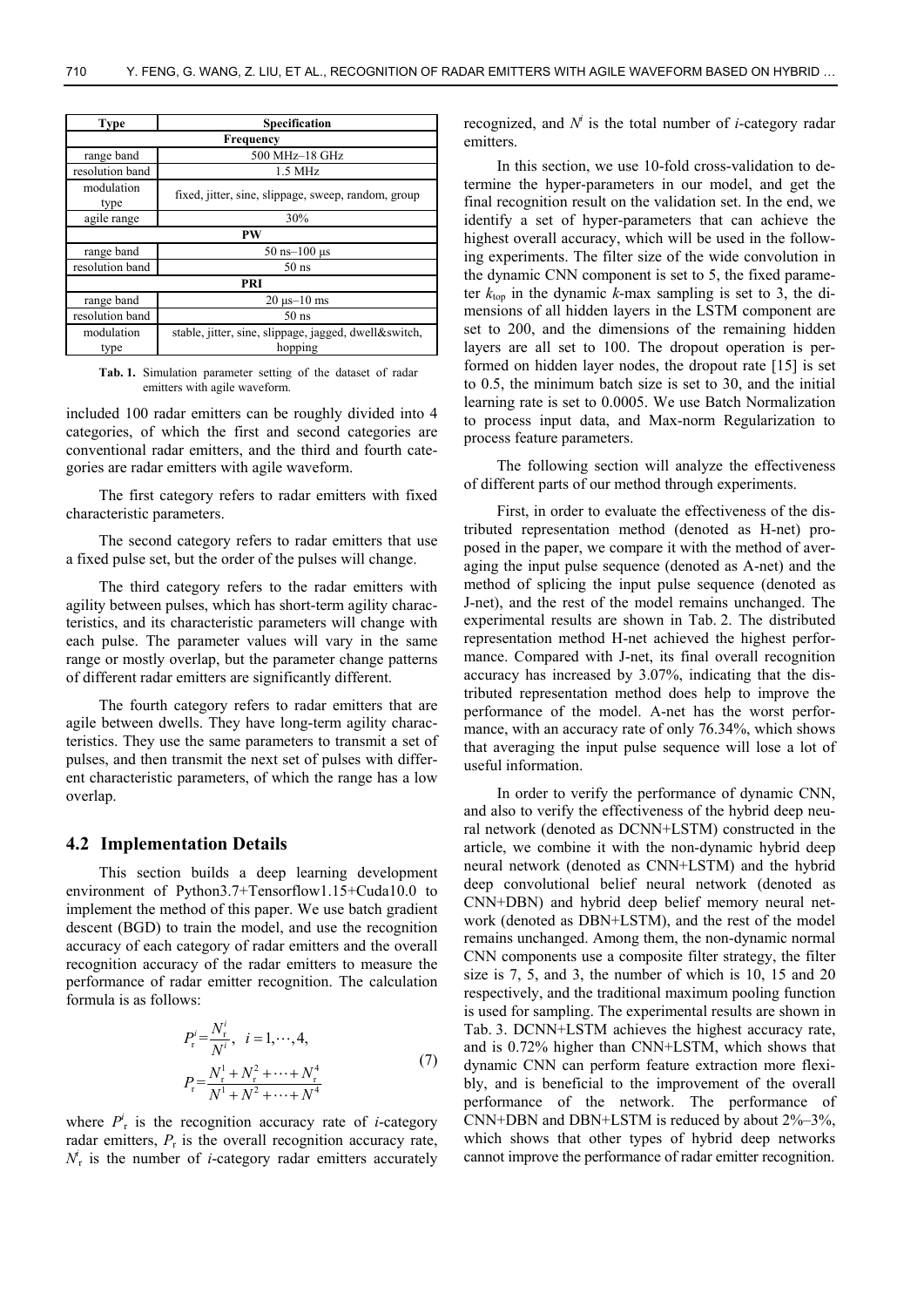| Type               | Specification                                                    |  |  |  |  |  |
|--------------------|------------------------------------------------------------------|--|--|--|--|--|
| Frequency          |                                                                  |  |  |  |  |  |
| range band         | 500 MHz-18 GHz                                                   |  |  |  |  |  |
| resolution band    | $1.5 \text{ MHz}$                                                |  |  |  |  |  |
| modulation<br>type | fixed, jitter, sine, slippage, sweep, random, group              |  |  |  |  |  |
| agile range        | 30%                                                              |  |  |  |  |  |
| PW                 |                                                                  |  |  |  |  |  |
| range band         | $50$ ns- $100$ us                                                |  |  |  |  |  |
| resolution band    | $50$ ns                                                          |  |  |  |  |  |
| PRI                |                                                                  |  |  |  |  |  |
| range band         | $20 \mu s - 10 \text{ ms}$                                       |  |  |  |  |  |
| resolution band    | $50$ ns                                                          |  |  |  |  |  |
| modulation<br>type | stable, jitter, sine, slippage, jagged, dwell&switch,<br>hopping |  |  |  |  |  |

**Tab. 1.** Simulation parameter setting of the dataset of radar emitters with agile waveform.

included 100 radar emitters can be roughly divided into 4 categories, of which the first and second categories are conventional radar emitters, and the third and fourth categories are radar emitters with agile waveform.

The first category refers to radar emitters with fixed characteristic parameters.

The second category refers to radar emitters that use a fixed pulse set, but the order of the pulses will change.

The third category refers to the radar emitters with agility between pulses, which has short-term agility characteristics, and its characteristic parameters will change with each pulse. The parameter values will vary in the same range or mostly overlap, but the parameter change patterns of different radar emitters are significantly different.

The fourth category refers to radar emitters that are agile between dwells. They have long-term agility characteristics. They use the same parameters to transmit a set of pulses, and then transmit the next set of pulses with different characteristic parameters, of which the range has a low overlap.

#### **4.2 Implementation Details**

This section builds a deep learning development environment of Python3.7+Tensorflow1.15+Cuda10.0 to implement the method of this paper. We use batch gradient descent (BGD) to train the model, and use the recognition accuracy of each category of radar emitters and the overall recognition accuracy of the radar emitters to measure the performance of radar emitter recognition. The calculation formula is as follows:

$$
P_{\rm r}^{i} = \frac{N_{\rm r}^{i}}{N^{i}}, \quad i = 1, \cdots, 4,
$$
  

$$
P_{\rm r} = \frac{N_{\rm r}^{1} + N_{\rm r}^{2} + \cdots + N_{\rm r}^{4}}{N^{1} + N^{2} + \cdots + N^{4}}
$$
 (7)

where  $P_{r}^{i}$  is the recognition accuracy rate of *i*-category radar emitters,  $P_r$  is the overall recognition accuracy rate,  $N_{\rm r}^i$  is the number of *i*-category radar emitters accurately

recognized, and  $N<sup>i</sup>$  is the total number of *i*-category radar emitters.

In this section, we use 10-fold cross-validation to determine the hyper-parameters in our model, and get the final recognition result on the validation set. In the end, we identify a set of hyper-parameters that can achieve the highest overall accuracy, which will be used in the following experiments. The filter size of the wide convolution in the dynamic CNN component is set to 5, the fixed parameter  $k_{\text{top}}$  in the dynamic  $k$ -max sampling is set to 3, the dimensions of all hidden layers in the LSTM component are set to 200, and the dimensions of the remaining hidden layers are all set to 100. The dropout operation is performed on hidden layer nodes, the dropout rate [15] is set to 0.5, the minimum batch size is set to 30, and the initial learning rate is set to 0.0005. We use Batch Normalization to process input data, and Max-norm Regularization to process feature parameters.

The following section will analyze the effectiveness of different parts of our method through experiments.

First, in order to evaluate the effectiveness of the distributed representation method (denoted as H-net) proposed in the paper, we compare it with the method of averaging the input pulse sequence (denoted as A-net) and the method of splicing the input pulse sequence (denoted as J-net), and the rest of the model remains unchanged. The experimental results are shown in Tab. 2. The distributed representation method H-net achieved the highest performance. Compared with J-net, its final overall recognition accuracy has increased by 3.07%, indicating that the distributed representation method does help to improve the performance of the model. A-net has the worst performance, with an accuracy rate of only 76.34%, which shows that averaging the input pulse sequence will lose a lot of useful information.

In order to verify the performance of dynamic CNN, and also to verify the effectiveness of the hybrid deep neural network (denoted as DCNN+LSTM) constructed in the article, we combine it with the non-dynamic hybrid deep neural network (denoted as CNN+LSTM) and the hybrid deep convolutional belief neural network (denoted as CNN+DBN) and hybrid deep belief memory neural network (denoted as DBN+LSTM), and the rest of the model remains unchanged. Among them, the non-dynamic normal CNN components use a composite filter strategy, the filter size is 7, 5, and 3, the number of which is 10, 15 and 20 respectively, and the traditional maximum pooling function is used for sampling. The experimental results are shown in Tab. 3. DCNN+LSTM achieves the highest accuracy rate, and is 0.72% higher than CNN+LSTM, which shows that dynamic CNN can perform feature extraction more flexibly, and is beneficial to the improvement of the overall performance of the network. The performance of CNN+DBN and DBN+LSTM is reduced by about 2%–3%, which shows that other types of hybrid deep networks cannot improve the performance of radar emitter recognition.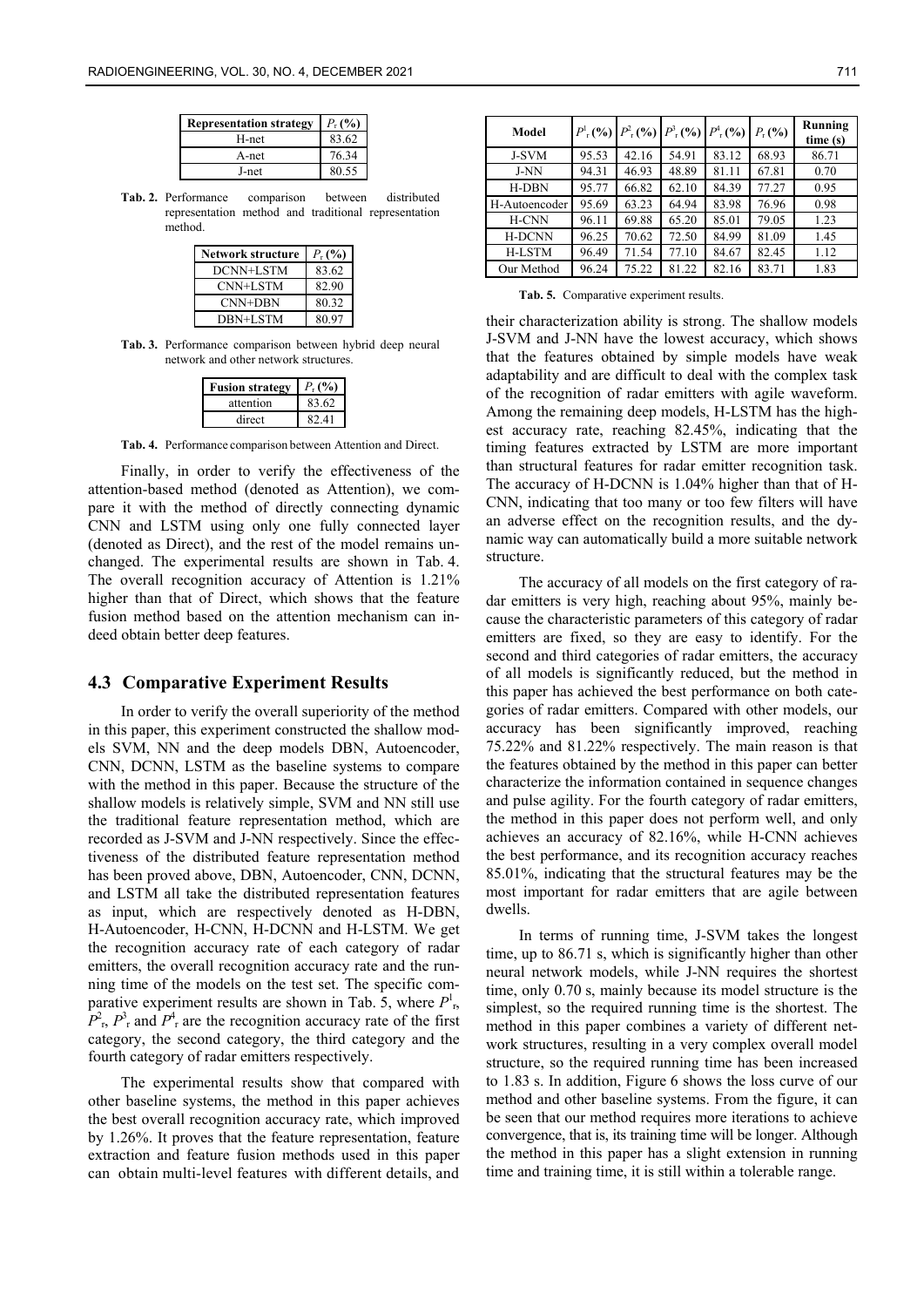| <b>Representation strategy</b> | $P_{r}$ (%) |
|--------------------------------|-------------|
| H-net                          | 83.62       |
| A-net                          | 76.34       |
| J-net                          | 80.55       |

**Tab. 2.** Performance comparison between distributed representation method and traditional representation method.

| <b>Network structure</b> | $P_{r}$ (%) |
|--------------------------|-------------|
| DCNN+LSTM                | 83.62       |
| CNN+LSTM                 | 82.90       |
| CNN+DBN                  | 80.32       |
| DBN+LSTM                 | 80.97       |

**Tab. 3.** Performance comparison between hybrid deep neural network and other network structures.

| <b>Fusion strategy</b> | $P_{-}(0)$ |
|------------------------|------------|
| attention              | 83.62      |
| direct                 |            |

**Tab. 4.** Performance comparison between Attention and Direct.

Finally, in order to verify the effectiveness of the attention-based method (denoted as Attention), we compare it with the method of directly connecting dynamic CNN and LSTM using only one fully connected layer (denoted as Direct), and the rest of the model remains unchanged. The experimental results are shown in Tab. 4. The overall recognition accuracy of Attention is 1.21% higher than that of Direct, which shows that the feature fusion method based on the attention mechanism can indeed obtain better deep features.

#### **4.3 Comparative Experiment Results**

In order to verify the overall superiority of the method in this paper, this experiment constructed the shallow models SVM, NN and the deep models DBN, Autoencoder, CNN, DCNN, LSTM as the baseline systems to compare with the method in this paper. Because the structure of the shallow models is relatively simple, SVM and NN still use the traditional feature representation method, which are recorded as J-SVM and J-NN respectively. Since the effectiveness of the distributed feature representation method has been proved above, DBN, Autoencoder, CNN, DCNN, and LSTM all take the distributed representation features as input, which are respectively denoted as H-DBN, H-Autoencoder, H-CNN, H-DCNN and H-LSTM. We get the recognition accuracy rate of each category of radar emitters, the overall recognition accuracy rate and the running time of the models on the test set. The specific comparative experiment results are shown in Tab. 5, where  $P<sup>1</sup><sub>r</sub>$ ,  $P_{\rm r}^2$ ,  $P_{\rm r}^3$  and  $P_{\rm r}^4$  are the recognition accuracy rate of the first category, the second category, the third category and the fourth category of radar emitters respectively.

The experimental results show that compared with other baseline systems, the method in this paper achieves the best overall recognition accuracy rate, which improved by 1.26%. It proves that the feature representation, feature extraction and feature fusion methods used in this paper can obtain multi-level features with different details, and

| Model         |       | $P_{\rm r}^{\rm l}$ (%) $P_{\rm r}^{\rm l}$ (%) $P_{\rm r}^{\rm l}$ (%) $P_{\rm r}^{\rm l}$ (%) |       |       | $P_{r}$ (%) | Running<br>time(s) |
|---------------|-------|-------------------------------------------------------------------------------------------------|-------|-------|-------------|--------------------|
| <b>J-SVM</b>  | 95.53 | 42.16                                                                                           | 54.91 | 83.12 | 68.93       | 86.71              |
| J-NN          | 94.31 | 46.93                                                                                           | 48.89 | 81.11 | 67.81       | 0.70               |
| <b>H-DBN</b>  | 95.77 | 66.82                                                                                           | 62.10 | 84.39 | 77.27       | 0.95               |
| H-Autoencoder | 95.69 | 63.23                                                                                           | 64.94 | 83.98 | 76.96       | 0.98               |
| H-CNN         | 96.11 | 69.88                                                                                           | 65.20 | 85.01 | 79.05       | 1.23               |
| <b>H-DCNN</b> | 96.25 | 70.62                                                                                           | 72.50 | 84.99 | 81.09       | 1.45               |
| <b>H-LSTM</b> | 96.49 | 71.54                                                                                           | 77.10 | 84.67 | 82.45       | 1.12               |
| Our Method    | 96.24 | 75.22                                                                                           | 81.22 | 82.16 | 83.71       | 1.83               |

**Tab. 5.** Comparative experiment results.

their characterization ability is strong. The shallow models J-SVM and J-NN have the lowest accuracy, which shows that the features obtained by simple models have weak adaptability and are difficult to deal with the complex task of the recognition of radar emitters with agile waveform. Among the remaining deep models, H-LSTM has the highest accuracy rate, reaching 82.45%, indicating that the timing features extracted by LSTM are more important than structural features for radar emitter recognition task. The accuracy of H-DCNN is 1.04% higher than that of H-CNN, indicating that too many or too few filters will have an adverse effect on the recognition results, and the dynamic way can automatically build a more suitable network structure.

The accuracy of all models on the first category of radar emitters is very high, reaching about 95%, mainly because the characteristic parameters of this category of radar emitters are fixed, so they are easy to identify. For the second and third categories of radar emitters, the accuracy of all models is significantly reduced, but the method in this paper has achieved the best performance on both categories of radar emitters. Compared with other models, our accuracy has been significantly improved, reaching 75.22% and 81.22% respectively. The main reason is that the features obtained by the method in this paper can better characterize the information contained in sequence changes and pulse agility. For the fourth category of radar emitters, the method in this paper does not perform well, and only achieves an accuracy of 82.16%, while H-CNN achieves the best performance, and its recognition accuracy reaches 85.01%, indicating that the structural features may be the most important for radar emitters that are agile between dwells.

In terms of running time, J-SVM takes the longest time, up to 86.71 s, which is significantly higher than other neural network models, while J-NN requires the shortest time, only 0.70 s, mainly because its model structure is the simplest, so the required running time is the shortest. The method in this paper combines a variety of different network structures, resulting in a very complex overall model structure, so the required running time has been increased to 1.83 s. In addition, Figure 6 shows the loss curve of our method and other baseline systems. From the figure, it can be seen that our method requires more iterations to achieve convergence, that is, its training time will be longer. Although the method in this paper has a slight extension in running time and training time, it is still within a tolerable range.